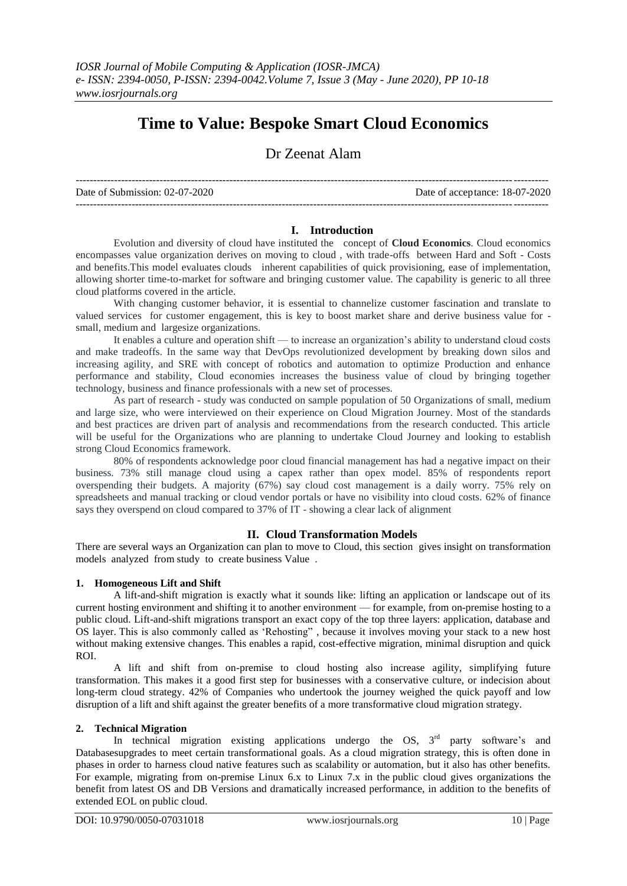# **Time to Value: Bespoke Smart Cloud Economics**

## Dr Zeenat Alam

Date of Submission: 02-07-2020 Date of acceptance: 18-07-2020

---------------------------------------------------------------------------------------------------------------------------------------

---------------------------------------------------------------------------------------------------------------------------------------

### **I. Introduction**

Evolution and diversity of cloud have instituted the concept of **Cloud Economics**. Cloud economics encompasses value organization derives on moving to cloud , with trade-offs between Hard and Soft - Costs and benefits.This model evaluates clouds inherent capabilities of quick provisioning, ease of implementation, allowing shorter time-to-market for software and bringing customer value. The capability is generic to all three cloud platforms covered in the article.

With changing customer behavior, it is essential to channelize customer fascination and translate to valued services for customer engagement, this is key to boost market share and derive business value for small, medium and largesize organizations.

It enables a culture and operation shift — to increase an organization's ability to understand cloud costs and make tradeoffs. In the same way that DevOps revolutionized development by breaking down silos and increasing agility, and SRE with concept of robotics and automation to optimize Production and enhance performance and stability, Cloud economies increases the business value of cloud by bringing together technology, business and finance professionals with a new set of processes.

As part of research - study was conducted on sample population of 50 Organizations of small, medium and large size, who were interviewed on their experience on Cloud Migration Journey. Most of the standards and best practices are driven part of analysis and recommendations from the research conducted. This article will be useful for the Organizations who are planning to undertake Cloud Journey and looking to establish strong Cloud Economics framework.

80% of respondents acknowledge poor cloud financial management has had a negative impact on their business. 73% still manage cloud using a capex rather than opex model. 85% of respondents report overspending their budgets. A majority (67%) say cloud cost management is a daily worry. 75% rely on spreadsheets and manual tracking or cloud vendor portals or have no visibility into cloud costs. 62% of finance says they overspend on cloud compared to 37% of IT - showing a clear lack of alignment

## **II. Cloud Transformation Models**

There are several ways an Organization can plan to move to Cloud, this section gives insight on transformation models analyzed from study to create business Value .

## **1. Homogeneous Lift and Shift**

A lift-and-shift migration is exactly what it sounds like: lifting an application or landscape out of its current hosting environment and shifting it to another environment — for example, from on-premise hosting to a public cloud. Lift-and-shift migrations transport an exact copy of the top three layers: application, database and OS layer. This is also commonly called as 'Rehosting", because it involves moving your stack to a new host without making extensive changes. This enables a rapid, cost-effective migration, minimal disruption and quick ROI.

A lift and shift from on-premise to cloud hosting also increase agility, simplifying future transformation. This makes it a good first step for businesses with a conservative culture, or indecision about long-term cloud strategy. 42% of Companies who undertook the journey weighed the quick payoff and low disruption of a lift and shift against the greater benefits of a more transformative cloud migration strategy.

## **2. Technical Migration**

In technical migration existing applications undergo the OS,  $3<sup>rd</sup>$  party software's and Databasesupgrades to meet certain transformational goals. As a cloud migration strategy, this is often done in phases in order to harness cloud native features such as scalability or automation, but it also has other benefits. For example, migrating from on-premise Linux 6.x to Linux 7.x in the public cloud gives organizations the benefit from latest OS and DB Versions and dramatically increased performance, in addition to the benefits of extended EOL on public cloud.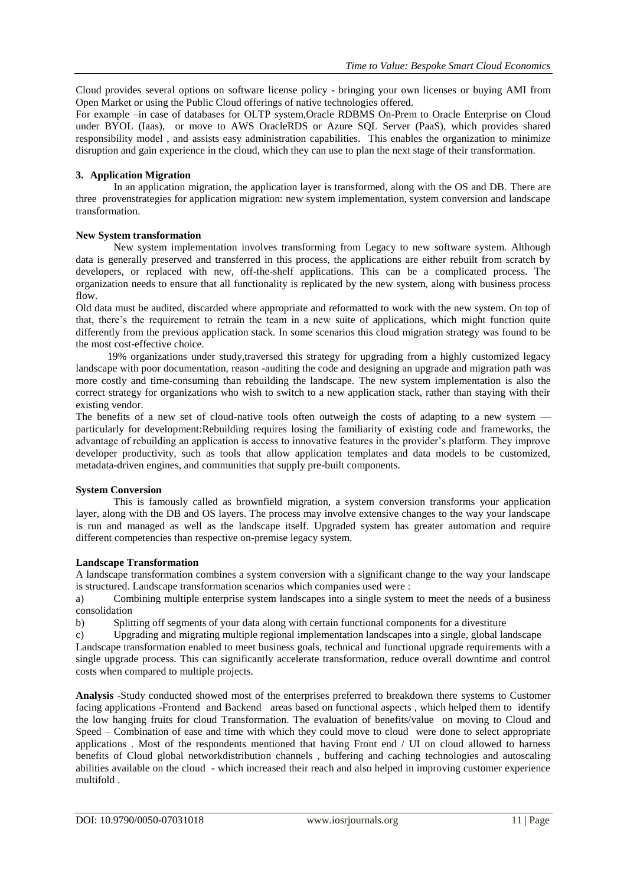Cloud provides several options on software license policy - bringing your own licenses or buying AMI from Open Market or using the Public Cloud offerings of native technologies offered.

For example –in case of databases for OLTP system,Oracle RDBMS On-Prem to Oracle Enterprise on Cloud under BYOL (Iaas), or move to AWS OracleRDS or Azure SQL Server (PaaS), which provides shared responsibility model , and assists easy administration capabilities. This enables the organization to minimize disruption and gain experience in the cloud, which they can use to plan the next stage of their transformation.

## **3. Application Migration**

In an application migration, the application layer is transformed, along with the OS and DB. There are three provenstrategies for application migration: new system implementation, system conversion and landscape transformation.

### **New System transformation**

New system implementation involves transforming from Legacy to new software system. Although data is generally preserved and transferred in this process, the applications are either rebuilt from scratch by developers, or replaced with new, off-the-shelf applications. This can be a complicated process. The organization needs to ensure that all functionality is replicated by the new system, along with business process flow.

Old data must be audited, discarded where appropriate and reformatted to work with the new system. On top of that, there's the requirement to retrain the team in a new suite of applications, which might function quite differently from the previous application stack. In some scenarios this cloud migration strategy was found to be the most cost-effective choice.

 19% organizations under study,traversed this strategy for upgrading from a highly customized legacy landscape with poor documentation, reason -auditing the code and designing an upgrade and migration path was more costly and time-consuming than rebuilding the landscape. The new system implementation is also the correct strategy for organizations who wish to switch to a new application stack, rather than staying with their existing vendor.

The benefits of a new set of cloud-native tools often outweigh the costs of adapting to a new system particularly for development:Rebuilding requires losing the familiarity of existing code and frameworks, the advantage of rebuilding an application is access to innovative features in the provider's platform. They improve developer productivity, such as tools that allow application templates and data models to be customized, metadata-driven engines, and communities that supply pre-built components.

#### **System Conversion**

This is famously called as brownfield migration, a system conversion transforms your application layer, along with the DB and OS layers. The process may involve extensive changes to the way your landscape is run and managed as well as the landscape itself. Upgraded system has greater automation and require different competencies than respective on-premise legacy system.

#### **Landscape Transformation**

A landscape transformation combines a system conversion with a significant change to the way your landscape is structured. Landscape transformation scenarios which companies used were :

a) Combining multiple enterprise system landscapes into a single system to meet the needs of a business consolidation

b) Splitting off segments of your data along with certain functional components for a divestiture

c) Upgrading and migrating multiple regional implementation landscapes into a single, global landscape Landscape transformation enabled to meet business goals, technical and functional upgrade requirements with a single upgrade process. This can significantly accelerate transformation, reduce overall downtime and control costs when compared to multiple projects.

**Analysis** -Study conducted showed most of the enterprises preferred to breakdown there systems to Customer facing applications -Frontend and Backend areas based on functional aspects , which helped them to identify the low hanging fruits for cloud Transformation. The evaluation of benefits/value on moving to Cloud and Speed – Combination of ease and time with which they could move to cloud were done to select appropriate applications . Most of the respondents mentioned that having Front end / UI on cloud allowed to harness benefits of Cloud global networkdistribution channels , buffering and caching technologies and autoscaling abilities available on the cloud - which increased their reach and also helped in improving customer experience multifold .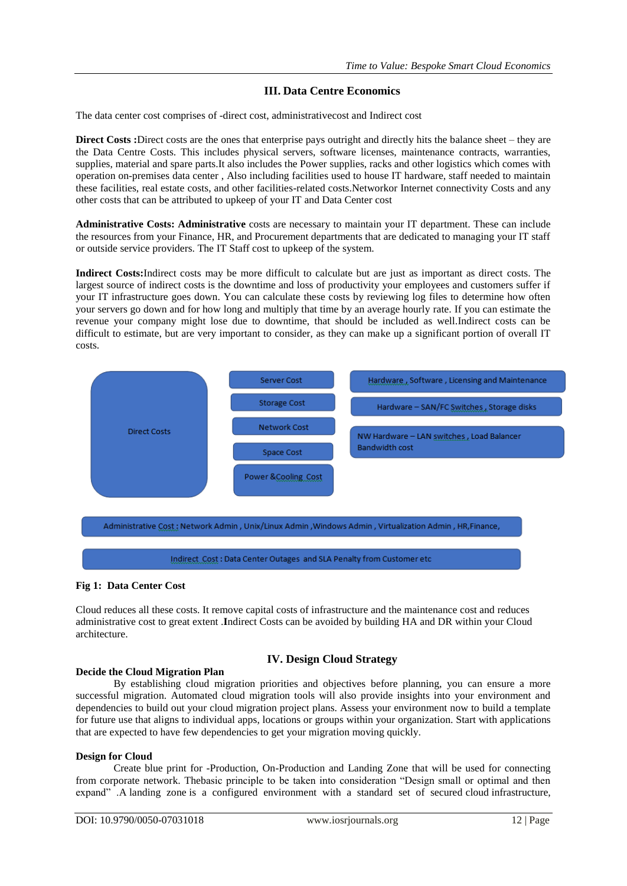## **III. Data Centre Economics**

The data center cost comprises of -direct cost, administrativecost and Indirect cost

**Direct Costs :**Direct costs are the ones that enterprise pays outright and directly hits the balance sheet – they are the Data Centre Costs. This includes physical servers, software licenses, maintenance contracts, warranties, supplies, material and spare parts.It also includes the Power supplies, racks and other logistics which comes with operation on-premises data center , Also including facilities used to house IT hardware, staff needed to maintain these facilities, real estate costs, and other facilities-related costs.Networkor Internet connectivity Costs and any other costs that can be attributed to upkeep of your IT and Data Center cost

**Administrative Costs: Administrative** costs are necessary to maintain your IT department. These can include the resources from your Finance, HR, and Procurement departments that are dedicated to managing your IT staff or outside service providers. The IT Staff cost to upkeep of the system.

**Indirect Costs:**Indirect costs may be more difficult to calculate but are just as important as direct costs. The largest source of indirect costs is the downtime and loss of productivity your employees and customers suffer if your IT infrastructure goes down. You can calculate these costs by reviewing log files to determine how often your servers go down and for how long and multiply that time by an average hourly rate. If you can estimate the revenue your company might lose due to downtime, that should be included as well.Indirect costs can be difficult to estimate, but are very important to consider, as they can make up a significant portion of overall IT costs.



## **Fig 1: Data Center Cost**

Cloud reduces all these costs. It remove capital costs of infrastructure and the maintenance cost and reduces administrative cost to great extent .**I**ndirect Costs can be avoided by building HA and DR within your Cloud architecture.

## **IV. Design Cloud Strategy**

## **Decide the Cloud Migration Plan**

By establishing cloud migration priorities and objectives before planning, you can ensure a more successful migration. Automated cloud migration tools will also provide insights into your environment and dependencies to build out your cloud migration project plans. Assess your environment now to build a template for future use that aligns to individual apps, locations or groups within your organization. Start with applications that are expected to have few dependencies to get your migration moving quickly.

#### **Design for Cloud**

Create blue print for -Production, On-Production and Landing Zone that will be used for connecting from corporate network. Thebasic principle to be taken into consideration "Design small or optimal and then expand" .A landing zone is a configured environment with a standard set of secured cloud infrastructure,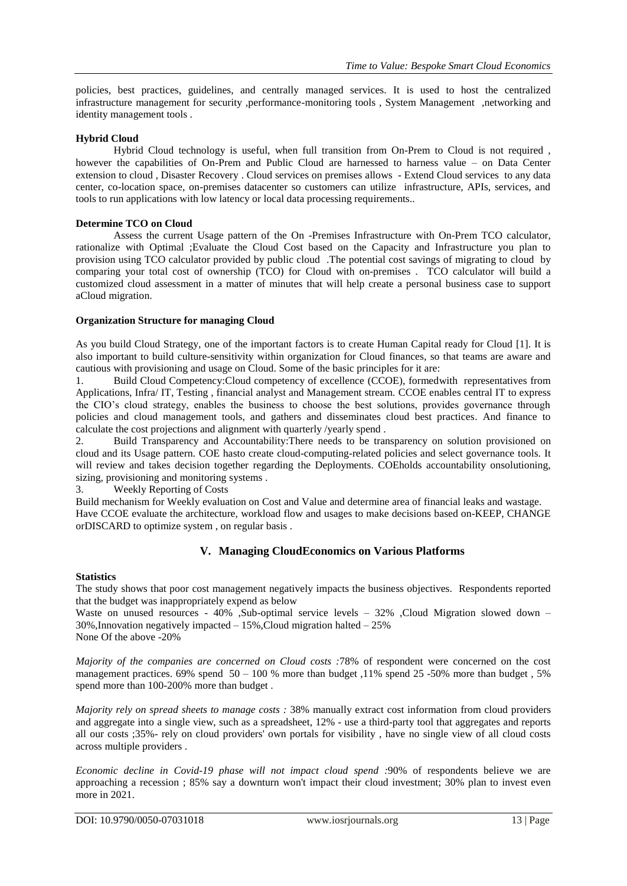policies, best practices, guidelines, and centrally managed services. It is used to host the centralized infrastructure management for security ,performance-monitoring tools , System Management ,networking and identity management tools .

## **Hybrid Cloud**

Hybrid Cloud technology is useful, when full transition from On-Prem to Cloud is not required , however the capabilities of On-Prem and Public Cloud are harnessed to harness value – on Data Center extension to cloud , Disaster Recovery . Cloud services on premises allows - Extend Cloud services to any data center, co-location space, on-premises datacenter so customers can utilize infrastructure, APIs, services, and tools to run applications with low latency or local data processing requirements..

#### **Determine TCO on Cloud**

Assess the current Usage pattern of the On -Premises Infrastructure with On-Prem TCO calculator, rationalize with Optimal ;Evaluate the Cloud Cost based on the Capacity and Infrastructure you plan to provision using TCO calculator provided by public cloud .The potential cost savings of migrating to cloud by comparing your total cost of ownership (TCO) for Cloud with on-premises . TCO calculator will build a customized cloud assessment in a matter of minutes that will help create a personal business case to support aCloud migration.

### **Organization Structure for managing Cloud**

As you build Cloud Strategy, one of the important factors is to create Human Capital ready for Cloud [1]. It is also important to build culture-sensitivity within organization for Cloud finances, so that teams are aware and cautious with provisioning and usage on Cloud. Some of the basic principles for it are:

1. Build Cloud Competency:Cloud competency of excellence (CCOE), formedwith representatives from Applications, Infra/ IT, Testing , financial analyst and Management stream. CCOE enables central IT to express the CIO's cloud strategy, enables the business to choose the best solutions, provides governance through policies and cloud management tools, and gathers and disseminates cloud best practices. And finance to calculate the cost projections and alignment with quarterly /yearly spend .

2. Build Transparency and Accountability:There needs to be transparency on solution provisioned on cloud and its Usage pattern. COE hasto create cloud-computing-related policies and select governance tools. It will review and takes decision together regarding the Deployments. COEholds accountability onsolutioning, sizing, provisioning and monitoring systems .

3. Weekly Reporting of Costs

Build mechanism for Weekly evaluation on Cost and Value and determine area of financial leaks and wastage. Have CCOE evaluate the architecture, workload flow and usages to make decisions based on-KEEP, CHANGE orDISCARD to optimize system , on regular basis .

## **V. Managing CloudEconomics on Various Platforms**

## **Statistics**

The study shows that poor cost management negatively impacts the business objectives. Respondents reported that the budget was inappropriately expend as below

Waste on unused resources - 40% ,Sub-optimal service levels – 32% ,Cloud Migration slowed down – 30%,Innovation negatively impacted – 15%,Cloud migration halted – 25% None Of the above -20%

*Majority of the companies are concerned on Cloud costs :*78% of respondent were concerned on the cost management practices.  $69\%$  spend  $50 - 100\%$  more than budget , 11% spend 25 -50% more than budget , 5% spend more than 100-200% more than budget .

*Majority rely on spread sheets to manage costs :* 38% manually extract cost information from cloud providers and aggregate into a single view, such as a spreadsheet, 12% - use a third-party tool that aggregates and reports all our costs ;35%- rely on cloud providers' own portals for visibility , have no single view of all cloud costs across multiple providers .

*Economic decline in Covid-19 phase will not impact cloud spend :*90% of respondents believe we are approaching a recession ; 85% say a downturn won't impact their cloud investment; 30% plan to invest even more in 2021.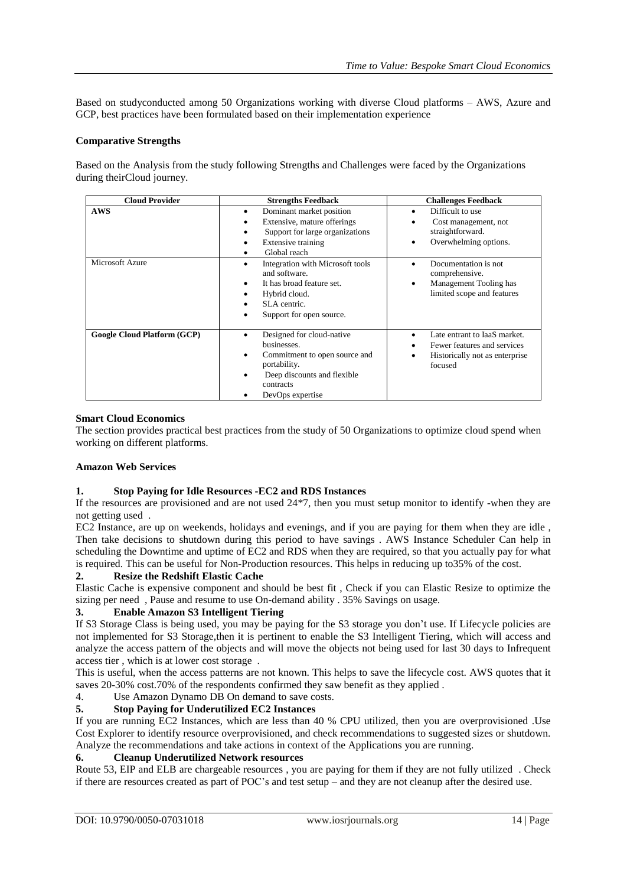Based on studyconducted among 50 Organizations working with diverse Cloud platforms – AWS, Azure and GCP, best practices have been formulated based on their implementation experience

#### **Comparative Strengths**

Based on the Analysis from the study following Strengths and Challenges were faced by the Organizations during theirCloud journey.

| <b>Cloud Provider</b>         | <b>Strengths Feedback</b>                                                                                                                                 | <b>Challenges Feedback</b>                                                                                    |  |
|-------------------------------|-----------------------------------------------------------------------------------------------------------------------------------------------------------|---------------------------------------------------------------------------------------------------------------|--|
| <b>AWS</b><br>Microsoft Azure | Dominant market position<br>٠<br>Extensive, mature offerings<br>Support for large organizations<br>Extensive training<br>٠<br>Global reach                | Difficult to use<br>Cost management, not<br>straightforward.<br>Overwhelming options.<br>Documentation is not |  |
|                               | Integration with Microsoft tools<br>and software.<br>It has broad feature set.<br>٠<br>Hybrid cloud.<br>SLA centric.<br>Support for open source.<br>٠     | comprehensive.<br>Management Tooling has<br>limited scope and features                                        |  |
| Google Cloud Platform (GCP)   | Designed for cloud-native<br>businesses.<br>Commitment to open source and<br>portability.<br>Deep discounts and flexible<br>contracts<br>DevOps expertise | Late entrant to JaaS market.<br>Fewer features and services<br>Historically not as enterprise<br>focused      |  |

#### **Smart Cloud Economics**

The section provides practical best practices from the study of 50 Organizations to optimize cloud spend when working on different platforms.

#### **Amazon Web Services**

#### **1. Stop Paying for Idle Resources -EC2 and RDS Instances**

If the resources are provisioned and are not used 24\*7, then you must setup monitor to identify -when they are not getting used .

EC2 Instance, are up on weekends, holidays and evenings, and if you are paying for them when they are idle , Then take decisions to shutdown during this period to have savings . AWS Instance Scheduler Can help in scheduling the Downtime and uptime of EC2 and RDS when they are required, so that you actually pay for what is required. This can be useful for Non-Production resources. This helps in reducing up to35% of the cost.

#### **2. Resize the Redshift Elastic Cache**

Elastic Cache is expensive component and should be best fit , Check if you can Elastic Resize to optimize the sizing per need , Pause and resume to use On-demand ability . 35% Savings on usage.

## **3. Enable Amazon S3 Intelligent Tiering**

If S3 Storage Class is being used, you may be paying for the S3 storage you don't use. If Lifecycle policies are not implemented for S3 Storage,then it is pertinent to enable the S3 Intelligent Tiering, which will access and analyze the access pattern of the objects and will move the objects not being used for last 30 days to Infrequent access tier , which is at lower cost storage .

This is useful, when the access patterns are not known. This helps to save the lifecycle cost. AWS quotes that it saves 20-30% cost.70% of the respondents confirmed they saw benefit as they applied .

4. Use Amazon Dynamo DB On demand to save costs.

## **5. Stop Paying for Underutilized EC2 Instances**

If you are running EC2 Instances, which are less than 40 % CPU utilized, then you are overprovisioned .Use Cost Explorer to identify resource overprovisioned, and check recommendations to suggested sizes or shutdown. Analyze the recommendations and take actions in context of the Applications you are running.

## **6. Cleanup Underutilized Network resources**

Route 53, EIP and ELB are chargeable resources , you are paying for them if they are not fully utilized . Check if there are resources created as part of POC's and test setup – and they are not cleanup after the desired use.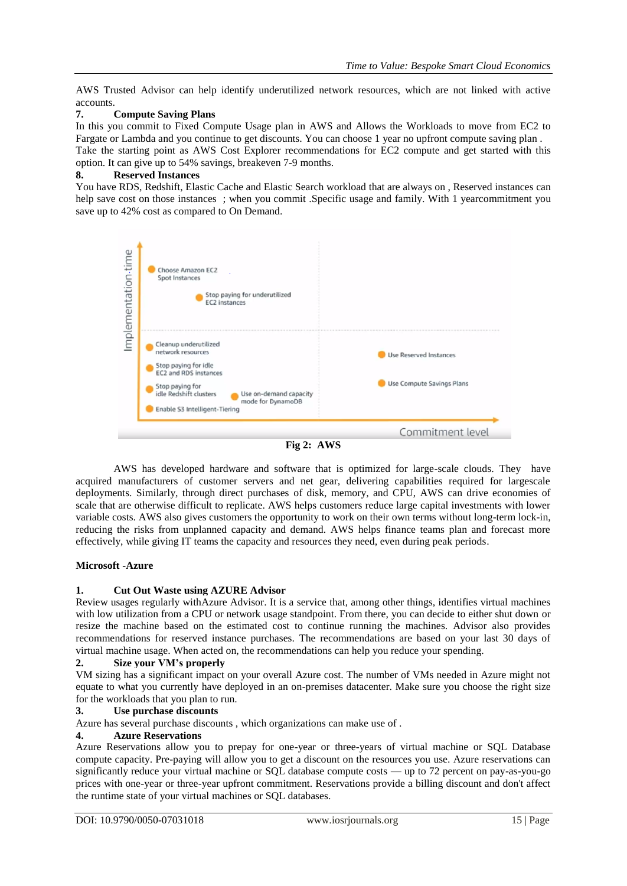AWS Trusted Advisor can help identify underutilized network resources, which are not linked with active accounts.

### **7. Compute Saving Plans**

In this you commit to Fixed Compute Usage plan in AWS and Allows the Workloads to move from EC2 to Fargate or Lambda and you continue to get discounts. You can choose 1 year no upfront compute saving plan .

Take the starting point as AWS Cost Explorer recommendations for EC2 compute and get started with this option. It can give up to 54% savings, breakeven 7-9 months.

#### **8. Reserved Instances**

You have RDS, Redshift, Elastic Cache and Elastic Search workload that are always on , Reserved instances can help save cost on those instances ; when you commit .Specific usage and family. With 1 yearcommitment you save up to 42% cost as compared to On Demand.



**Fig 2: AWS**

AWS has developed hardware and software that is optimized for large-scale clouds. They have acquired manufacturers of customer servers and net gear, delivering capabilities required for largescale deployments. Similarly, through direct purchases of disk, memory, and CPU, AWS can drive economies of scale that are otherwise difficult to replicate. AWS helps customers reduce large capital investments with lower variable costs. AWS also gives customers the opportunity to work on their own terms without long-term lock-in, reducing the risks from unplanned capacity and demand. AWS helps finance teams plan and forecast more effectively, while giving IT teams the capacity and resources they need, even during peak periods.

#### **Microsoft -Azure**

## **1. Cut Out Waste using AZURE Advisor**

Review usages regularly withAzure Advisor. It is a service that, among other things, identifies virtual machines with low utilization from a CPU or network usage standpoint. From there, you can decide to either shut down or resize the machine based on the estimated cost to continue running the machines. Advisor also provides recommendations for reserved instance purchases. The recommendations are based on your last 30 days of virtual machine usage. When acted on, the recommendations can help you reduce your spending.

### **2. Size your VM's properly**

VM sizing has a significant impact on your overall Azure cost. The number of VMs needed in Azure might not equate to what you currently have deployed in an on-premises datacenter. Make sure you choose the right size for the workloads that you plan to run.

#### **3. Use purchase discounts**

Azure has several purchase discounts , which organizations can make use of .

#### **4. Azure Reservations**

Azure Reservations allow you to prepay for one-year or three-years of virtual machine or SQL Database compute capacity. Pre-paying will allow you to get a discount on the resources you use. Azure reservations can significantly reduce your virtual machine or SQL database compute costs — up to 72 percent on pay-as-you-go prices with one-year or three-year upfront commitment. Reservations provide a billing discount and don't affect the runtime state of your virtual machines or SQL databases.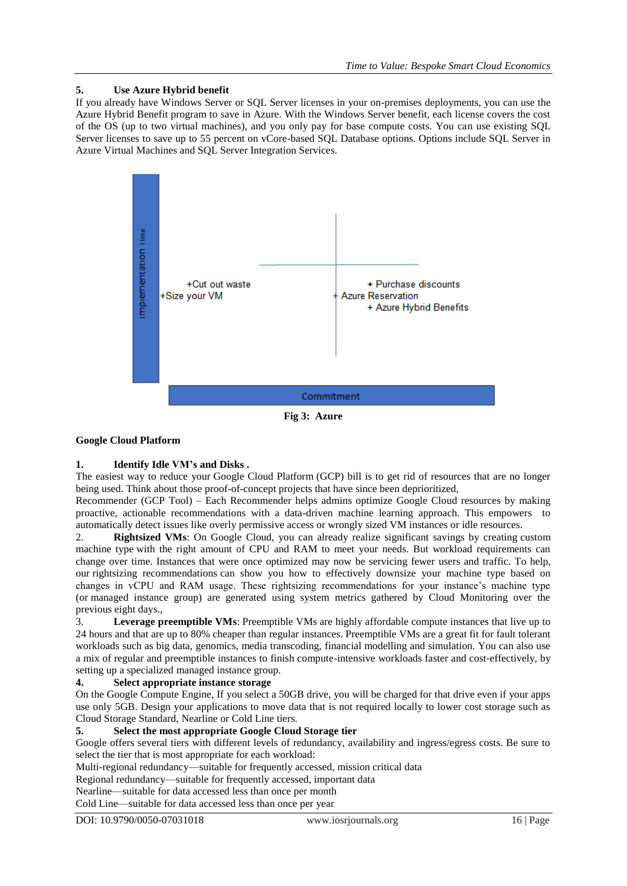## **5. Use Azure Hybrid benefit**

If you already have Windows Server or SQL Server licenses in your on-premises deployments, you can use the Azure Hybrid Benefit program to save in Azure. With the Windows Server benefit, each license covers the cost of the OS (up to two virtual machines), and you only pay for base compute costs. You can use existing SQL Server licenses to save up to 55 percent on vCore-based SQL Database options. Options include SQL Server in Azure Virtual Machines and SQL Server Integration Services.



**Fig 3: Azure**

## **Google Cloud Platform**

## **1. Identify Idle VM's and Disks .**

The easiest way to reduce your Google Cloud Platform (GCP) bill is to get rid of resources that are no longer being used. Think about those proof-of-concept projects that have since been deprioritized,

Recommender (GCP Tool) – Each Recommender helps admins optimize Google Cloud resources by making proactive, actionable recommendations with a data-driven machine learning approach. This empowers to automatically detect issues like overly permissive access or wrongly sized VM instances or idle resources.

2. **Rightsized VMs**: On Google Cloud, you can already realize significant savings by creating custom machine type with the right amount of CPU and RAM to meet your needs. But workload requirements can change over time. Instances that were once optimized may now be servicing fewer users and traffic. To help, our rightsizing recommendations can show you how to effectively downsize your machine type based on changes in vCPU and RAM usage. These rightsizing recommendations for your instance's machine type (or managed instance group) are generated using system metrics gathered by Cloud Monitoring over the previous eight days.,

3. **Leverage preemptible VMs**: Preemptible VMs are highly affordable compute instances that live up to 24 hours and that are up to 80% cheaper than regular instances. Preemptible VMs are a great fit for fault tolerant workloads such as big data, genomics, media transcoding, financial modelling and simulation. You can also use a mix of regular and preemptible instances to finish compute-intensive workloads faster and cost-effectively, by setting up a specialized managed instance group.

## **4. Select appropriate instance storage**

On the Google Compute Engine, If you select a 50GB drive, you will be charged for that drive even if your apps use only 5GB. Design your applications to move data that is not required locally to lower cost storage such as Cloud Storage Standard, Nearline or Cold Line tiers.

## **5. Select the most appropriate Google Cloud Storage tier**

Google offers several tiers with different levels of redundancy, availability and ingress/egress costs. Be sure to select the tier that is most appropriate for each workload:

Multi-regional redundancy—suitable for frequently accessed, mission critical data

Regional redundancy—suitable for frequently accessed, important data

Nearline—suitable for data accessed less than once per month

Cold Line—suitable for data accessed less than once per year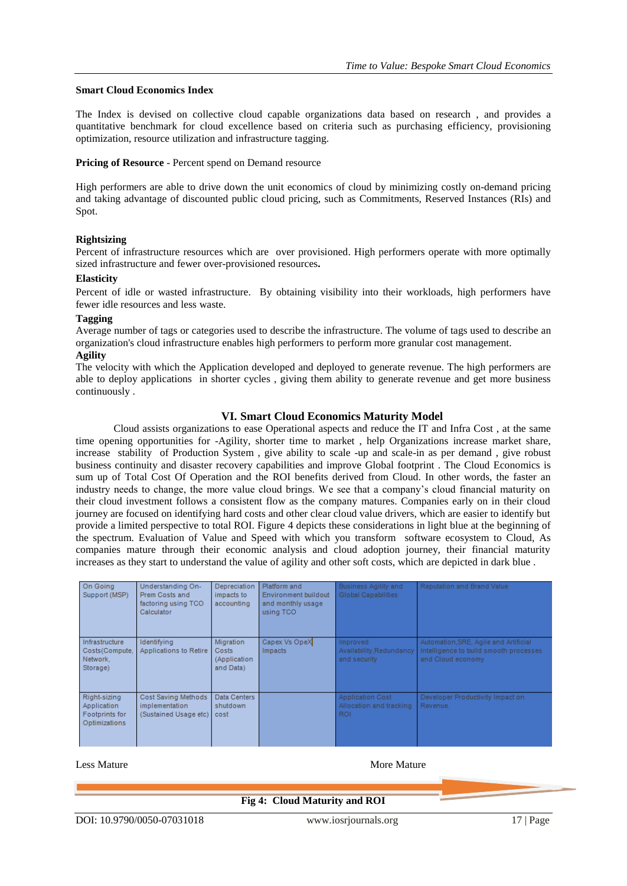#### **Smart Cloud Economics Index**

The Index is devised on collective cloud capable organizations data based on research , and provides a quantitative benchmark for cloud excellence based on criteria such as purchasing efficiency, provisioning optimization, resource utilization and infrastructure tagging.

#### **Pricing of Resource** - Percent spend on Demand resource

High performers are able to drive down the unit economics of cloud by minimizing costly on-demand pricing and taking advantage of discounted public cloud pricing, such as Commitments, Reserved Instances (RIs) and Spot.

#### **Rightsizing**

Percent of infrastructure resources which are over provisioned. High performers operate with more optimally sized infrastructure and fewer over-provisioned resources**.**

#### **Elasticity**

Percent of idle or wasted infrastructure. By obtaining visibility into their workloads, high performers have fewer idle resources and less waste.

#### **Tagging**

Average number of tags or categories used to describe the infrastructure. The volume of tags used to describe an organization's cloud infrastructure enables high performers to perform more granular cost management. **Agility**

The velocity with which the Application developed and deployed to generate revenue. The high performers are able to deploy applications in shorter cycles , giving them ability to generate revenue and get more business continuously .

#### **VI. Smart Cloud Economics Maturity Model**

Cloud assists organizations to ease Operational aspects and reduce the IT and Infra Cost , at the same time opening opportunities for -Agility, shorter time to market , help Organizations increase market share, increase stability of Production System , give ability to scale -up and scale-in as per demand , give robust business continuity and disaster recovery capabilities and improve Global footprint . The Cloud Economics is sum up of Total Cost Of Operation and the ROI benefits derived from Cloud. In other words, the faster an industry needs to change, the more value cloud brings. We see that a company's cloud financial maturity on their cloud investment follows a consistent flow as the company matures. Companies early on in their cloud journey are focused on identifying hard costs and other clear cloud value drivers, which are easier to identify but provide a limited perspective to total ROI. Figure 4 depicts these considerations in light blue at the beginning of the spectrum. Evaluation of Value and Speed with which you transform software ecosystem to Cloud, As companies mature through their economic analysis and cloud adoption journey, their financial maturity increases as they start to understand the value of agility and other soft costs, which are depicted in dark blue .

| On Going<br>Support (MSP)                                      | Understanding On-<br>Prem Costs and<br>factoring using TCO<br>Calculator | Depreciation<br>impacts to<br>accounting         | Platform and<br>Environment buildout<br>and monthly usage<br>using TCO | <b>Business Agility and</b><br>Global Capabilities         | Reputation and Brand Value                                                                           |
|----------------------------------------------------------------|--------------------------------------------------------------------------|--------------------------------------------------|------------------------------------------------------------------------|------------------------------------------------------------|------------------------------------------------------------------------------------------------------|
| Infrastructure<br>Costs(Compute,<br>Network.<br>Storage)       | Identifving<br>Applications to Retire                                    | Migration<br>Costs<br>(Application)<br>and Data) | Capex Vs OpeX<br>Impacts                                               | Improved<br>Availability, Redundancy<br>and security       | Automation, SRE, Agile and Artificial<br>Intelligence to build smooth processes<br>and Cloud economy |
| Right-sizing<br>Application<br>Footprints for<br>Optimizations | Cost Saving Methods<br>implementation<br>(Sustained Usage etc)           | Data Centers<br>shutdown<br>cost                 |                                                                        | <b>Application Cost</b><br>Allocation and tracking<br>ROI. | Developer Productivity Impact on<br>Revenue.                                                         |

#### Less Mature More Mature More Mature More Mature More Mature More Mature More Mature More Mature More Mature Mo

#### **Fig 4: Cloud Maturity and ROI**

DOI: 10.9790/0050-07031018 www.iosrjournals.org 17 | Page